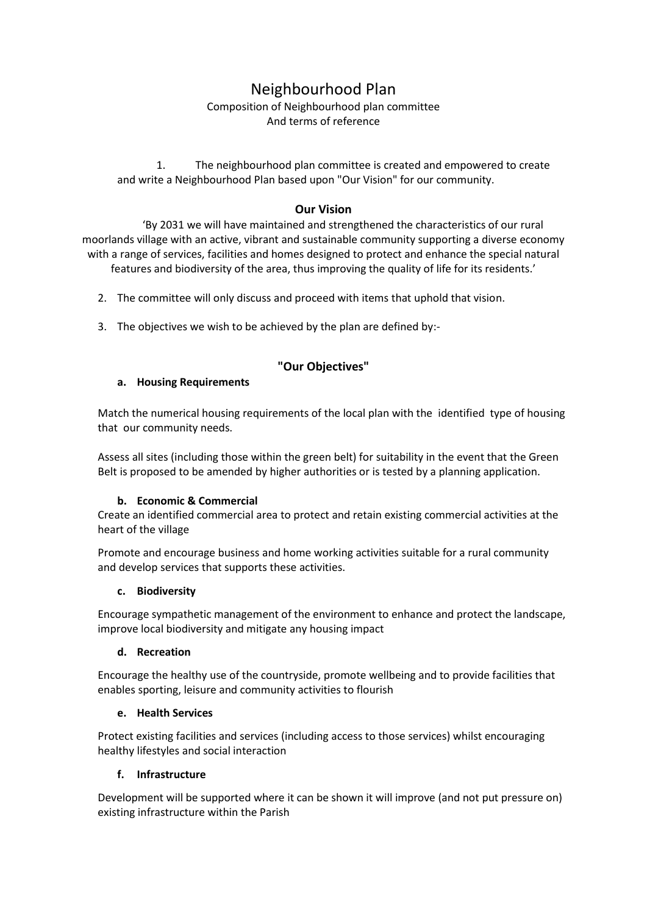# Neighbourhood Plan

### Composition of Neighbourhood plan committee And terms of reference

1. The neighbourhood plan committee is created and empowered to create and write a Neighbourhood Plan based upon "Our Vision" for our community.

## **Our Vision**

'By 2031 we will have maintained and strengthened the characteristics of our rural moorlands village with an active, vibrant and sustainable community supporting a diverse economy with a range of services, facilities and homes designed to protect and enhance the special natural features and biodiversity of the area, thus improving the quality of life for its residents.'

- 2. The committee will only discuss and proceed with items that uphold that vision.
- 3. The objectives we wish to be achieved by the plan are defined by:-

## **"Our Objectives"**

### **a. Housing Requirements**

Match the numerical housing requirements of the local plan with the identified type of housing that our community needs.

Assess all sites (including those within the green belt) for suitability in the event that the Green Belt is proposed to be amended by higher authorities or is tested by a planning application.

### **b. Economic & Commercial**

Create an identified commercial area to protect and retain existing commercial activities at the heart of the village

Promote and encourage business and home working activities suitable for a rural community and develop services that supports these activities.

### **c. Biodiversity**

Encourage sympathetic management of the environment to enhance and protect the landscape, improve local biodiversity and mitigate any housing impact

### **d. Recreation**

Encourage the healthy use of the countryside, promote wellbeing and to provide facilities that enables sporting, leisure and community activities to flourish

### **e. Health Services**

Protect existing facilities and services (including access to those services) whilst encouraging healthy lifestyles and social interaction

### **f. Infrastructure**

Development will be supported where it can be shown it will improve (and not put pressure on) existing infrastructure within the Parish